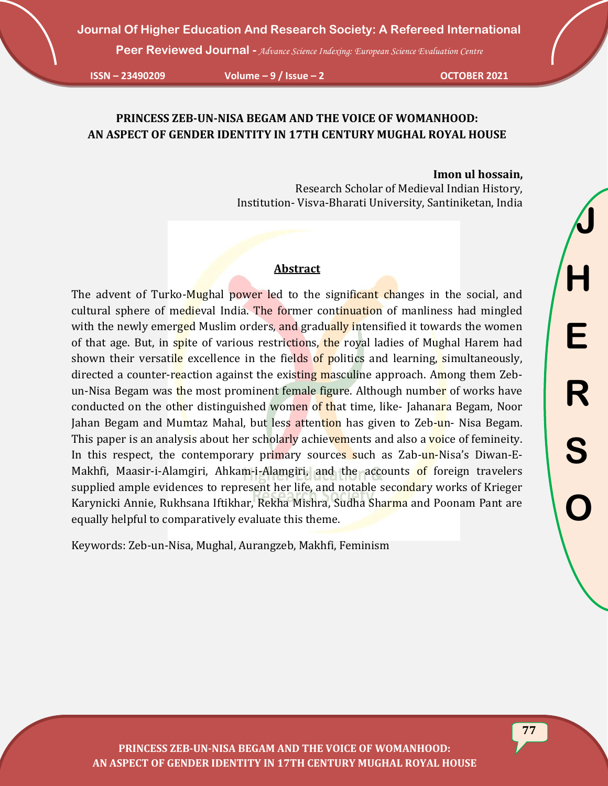**Peer Reviewed Journal -** *Advance Science Indexing: European Science Evaluation Centre*

**ISSN – 23490209 Volume – 9 / Issue – 2 OCTOBER 2021**

## **PRINCESS ZEB-UN-NISA BEGAM AND THE VOICE OF WOMANHOOD: AN ASPECT OF GENDER IDENTITY IN 17TH CENTURY MUGHAL ROYAL HOUSE**

#### **Imon ul hossain,**

Research Scholar of Medieval Indian History, Institution- Visva-Bharati University, Santiniketan, India

#### **Abstract**

The advent of Turko-Mughal power led to the significant changes in the social, and cultural sphere of medieval India. The former continuation of manliness had mingled with the newly emerged Muslim orders, and gradually intensified it towards the women of that age. But, in spite of various restrictions, the royal ladies of Mughal Harem had shown their versatile excellence in the fields of politics and learning, simultaneously, directed a counter-reaction against the existing masculine approach. Among them Zebun-Nisa Begam was the most prominent female figure. Although number of works have conducted on the other distinguished women of that time, like- Jahanara Begam, Noor Jahan Begam and Mumtaz Mahal, but less attention has given to Zeb-un-Nisa Begam. This paper is an analysis about her scholarly achievements and also a voice of femineity. In this respect, the contemporary primary sources such as Zab-un-Nisa's Diwan-E-Makhfi, Maasir-i-Alamgiri, Ahkam-i-Alamgiri, and the accounts of foreign travelers supplied ample evidences to represent her life, and notable secondary works of Krieger Karynicki Annie, Rukhsana Iftikhar, Rekha Mishra, Sudha Sharma and Poonam Pant are equally helpful to comparatively evaluate this theme.

Keywords: Zeb-un-Nisa, Mughal, Aurangzeb, Makhfi, Feminism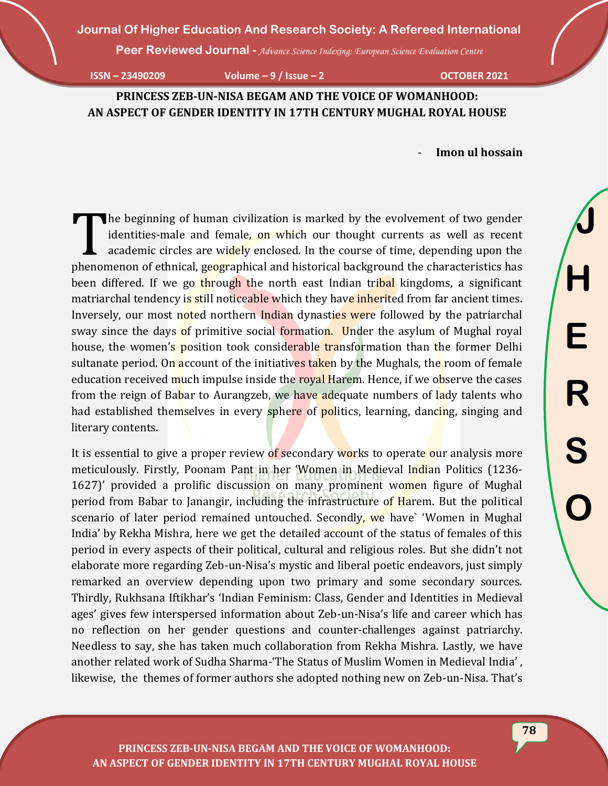**Peer Reviewed Journal -** *Advance Science Indexing: European Science Evaluation Centre*

**ISSN – 23490209 Volume – 9 / Issue – 2 OCTOBER 2021**

**PRINCESS ZEB-UN-NISA BEGAM AND THE VOICE OF WOMANHOOD: AN ASPECT OF GENDER IDENTITY IN 17TH CENTURY MUGHAL ROYAL HOUSE**

- **Imon ul hossain**

he beginning of human civilization is marked by the evolvement of two gender identities-male and female, on which our thought currents as well as recent academic circles are widely enclosed. In the course of time, depending upon the The beginning of human civilization is marked by the evolvement of two gender identities-male and female, on which our thought currents as well as recent academic circles are widely enclosed. In the course of time, dependi been differed. If we go through the north east Indian tribal kingdoms, a significant matriarchal tendency is still noticeable which they have inherited from far ancient times. Inversely, our most noted northern Indian dynasties were followed by the patriarchal sway since the days of primitive social formation. Under the asylum of Mughal royal house, the women's position took considerable transformation than the former Delhi sultanate period. On account of the initiatives taken by the Mughals, the room of female education received much impulse inside the royal Harem. Hence, if we observe the cases from the reign of Babar to Aurangzeb, we have adequate numbers of lady talents who had established themselves in every sphere of politics, learning, dancing, singing and literary contents.

It is essential to give a proper review of secondary works to operate our analysis more meticulously. Firstly, Poonam Pant in her 'Women in Medieval Indian Politics (1236- 1627)' provided a prolific discussion on many prominent women figure of Mughal period from Babar to Janangir, including the infrastructure of Harem. But the political scenario of later period remained untouched. Secondly, we have` 'Women in Mughal India' by Rekha Mishra, here we get the detailed account of the status of females of this period in every aspects of their political, cultural and religious roles. But she didn't not elaborate more regarding Zeb-un-Nisa's mystic and liberal poetic endeavors, just simply remarked an overview depending upon two primary and some secondary sources. Thirdly, Rukhsana Iftikhar's 'Indian Feminism: Class, Gender and Identities in Medieval ages' gives few interspersed information about Zeb-un-Nisa's life and career which has no reflection on her gender questions and counter-challenges against patriarchy. Needless to say, she has taken much collaboration from Rekha Mishra. Lastly, we have another related work of Sudha Sharma-'The Status of Muslim Women in Medieval India' , likewise, the themes of former authors she adopted nothing new on Zeb-un-Nisa. That's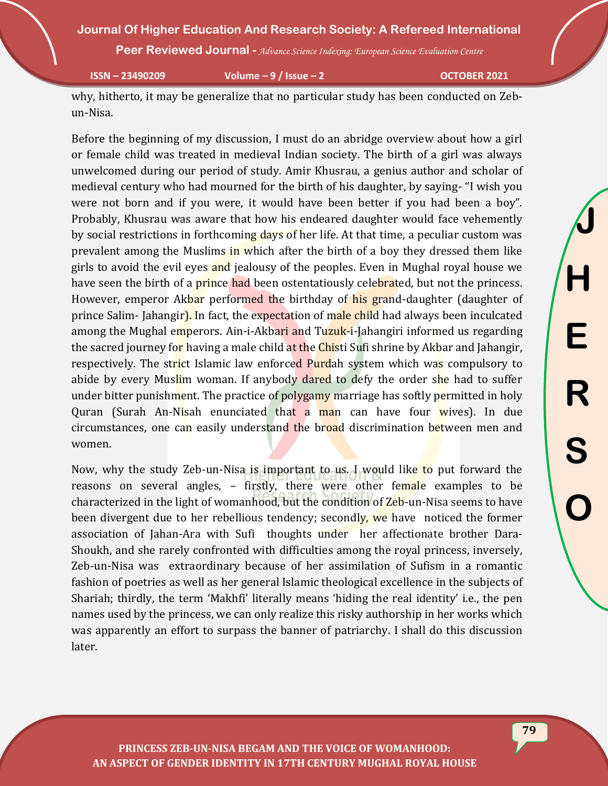**Peer Reviewed Journal -** *Advance Science Indexing: European Science Evaluation Centre*

**ISSN – 23490209 Volume – 9 / Issue – 2 OCTOBER 2021**

why, hitherto, it may be generalize that no particular study has been conducted on Zebun-Nisa.

Before the beginning of my discussion, I must do an abridge overview about how a girl or female child was treated in medieval Indian society. The birth of a girl was always unwelcomed during our period of study. Amir Khusrau, a genius author and scholar of medieval century who had mourned for the birth of his daughter, by saying- "I wish you were not born and if you were, it would have been better if you had been a boy". Probably, Khusrau was aware that how his endeared daughter would face vehemently by social restrictions in forthcoming days of her life. At that time, a peculiar custom was prevalent among the Muslims in which after the birth of a boy they dressed them like girls to avoid the evil eyes and jealousy of the peoples. Even in Mughal royal house we have seen the birth of a **prince had** been ostentatiously celebrated, but not the princess. However, emperor Akbar performed the birthday of his grand-daughter (daughter of prince Salim-Jahangir). In fact, the expectation of male child had always been inculcated among the Mughal emperors. Ain-i-Akbari and Tuzuk-i-Jahangiri informed us regarding the sacred journey for having a male child at the Chisti Sufi shrine by Akbar and Jahangir, respectively. The strict Islamic law enforced Purdah system which was compulsory to abide by every Muslim woman. If anybody dared to defy the order she had to suffer under bitter punishment. The practice of polygamy marriage has softly permitted in holy Quran (Surah An-Nisah enunciated that a man can have four wives). In due circumstances, one can easily understand the broad discrimination between men and women.

Now, why the study Zeb-un-Nisa is important to us. I would like to put forward the reasons on several angles, - firstly, there were other female examples to be characterized in the light of womanhood, but the condition of Zeb-un-Nisa seems to have been divergent due to her rebellious tendency; secondly, we have noticed the former association of Jahan-Ara with Sufi thoughts under her affectionate brother Dara-Shoukh, and she rarely confronted with difficulties among the royal princess, inversely, Zeb-un-Nisa was extraordinary because of her assimilation of Sufism in a romantic fashion of poetries as well as her general Islamic theological excellence in the subjects of Shariah; thirdly, the term 'Makhfi' literally means 'hiding the real identity' i.e., the pen names used by the princess, we can only realize this risky authorship in her works which was apparently an effort to surpass the banner of patriarchy. I shall do this discussion later.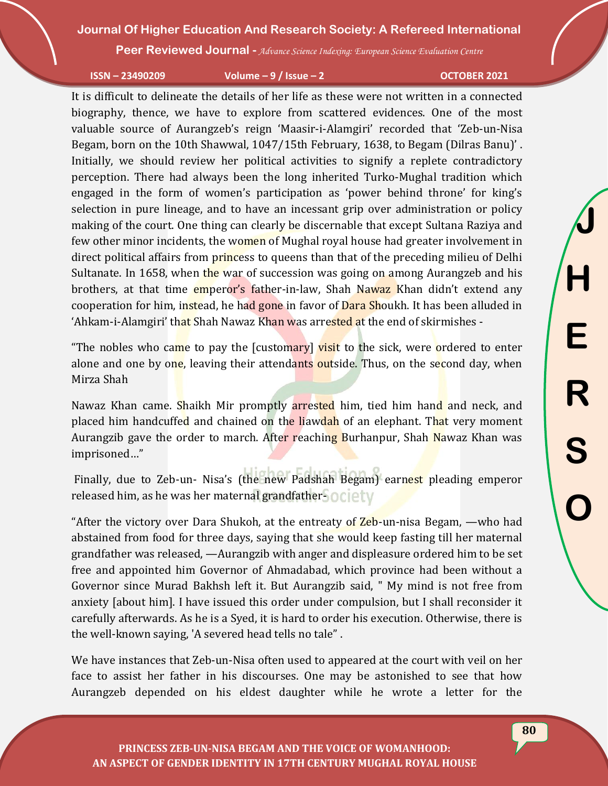**Peer Reviewed Journal -** *Advance Science Indexing: European Science Evaluation Centre*

**ISSN – 23490209 Volume – 9 / Issue – 2 OCTOBER 2021**

It is difficult to delineate the details of her life as these were not written in a connected biography, thence, we have to explore from scattered evidences. One of the most valuable source of Aurangzeb's reign 'Maasir-i-Alamgiri' recorded that 'Zeb-un-Nisa Begam, born on the 10th Shawwal, 1047/15th February, 1638, to Begam (Dilras Banu)' . Initially, we should review her political activities to signify a replete contradictory perception. There had always been the long inherited Turko-Mughal tradition which engaged in the form of women's participation as 'power behind throne' for king's selection in pure lineage, and to have an incessant grip over administration or policy making of the court. One thing can clearly be discernable that except Sultana Raziya and few other minor incidents, the women of Mughal royal house had greater involvement in direct political affairs from princess to queens than that of the preceding milieu of Delhi Sultanate. In 1658, when the war of succession was going on among Aurangzeb and his brothers, at that time emperor's father-in-law, Shah Nawaz Khan didn't extend any cooperation for him, instead, he had gone in favor of Dara Shoukh. It has been alluded in 'Ahkam-i-Alamgiri' that Shah Nawaz Khan was arrested at the end of skirmishes -

"The nobles who came to pay the [customary] visit to the sick, were ordered to enter alone and one by one, leaving their attendants outside. Thus, on the second day, when Mirza Shah

Nawaz Khan came. Shaikh Mir promptly arrested him, tied him hand and neck, and placed him handcuffed and chained on the liawdah of an elephant. That very moment Aurangzib gave the order to march. After reaching Burhanpur, Shah Nawaz Khan was imprisoned…"

Finally, due to Zeb-un- Nisa's (the new Padshah Begam) earnest pleading emperor released him, as he was her maternal grandfather-OCIETV

"After the victory over Dara Shukoh, at the entreaty of Zeb-un-nisa Begam, —who had abstained from food for three days, saying that she would keep fasting till her maternal grandfather was released, —Aurangzib with anger and displeasure ordered him to be set free and appointed him Governor of Ahmadabad, which province had been without a Governor since Murad Bakhsh left it. But Aurangzib said, " My mind is not free from anxiety [about him]. I have issued this order under compulsion, but I shall reconsider it carefully afterwards. As he is a Syed, it is hard to order his execution. Otherwise, there is the well-known saying, 'A severed head tells no tale" .

We have instances that Zeb-un-Nisa often used to appeared at the court with veil on her face to assist her father in his discourses. One may be astonished to see that how Aurangzeb depended on his eldest daughter while he wrote a letter for the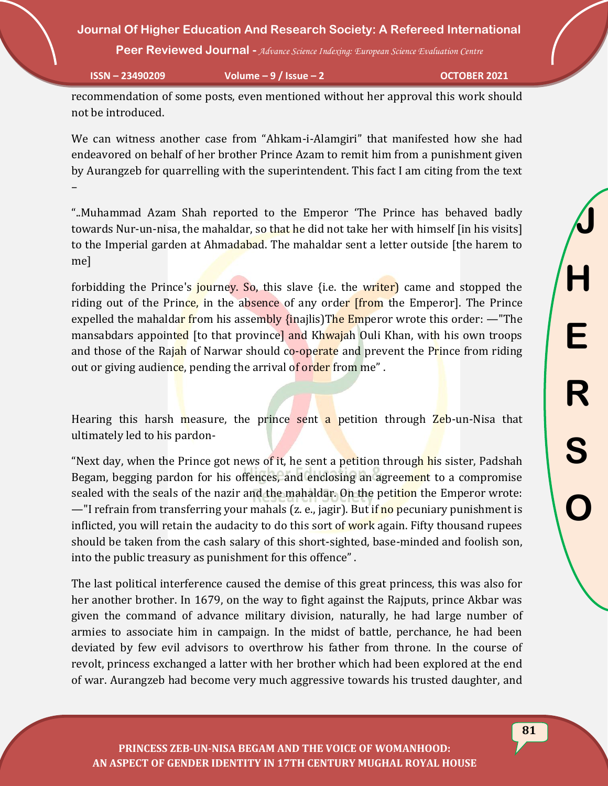**Peer Reviewed Journal -** *Advance Science Indexing: European Science Evaluation Centre*

**ISSN – 23490209 Volume – 9 / Issue – 2 OCTOBER 2021**

recommendation of some posts, even mentioned without her approval this work should not be introduced.

We can witness another case from "Ahkam-i-Alamgiri" that manifested how she had endeavored on behalf of her brother Prince Azam to remit him from a punishment given by Aurangzeb for quarrelling with the superintendent. This fact I am citing from the text –

"..Muhammad Azam Shah reported to the Emperor 'The Prince has behaved badly towards Nur-un-nisa, the mahaldar, so that he did not take her with himself [in his visits] to the Imperial garden at Ahmadabad. The mahaldar sent a letter outside [the harem to me]

forbidding the Prince's journey. So, this slave {i.e. the writer) came and stopped the riding out of the Prince, in the absence of any order *from* the Emperor. The Prince expelled the mahaldar from his assembly {inajlis} The Emperor wrote this order:  $-$  "The mansabdars appointed [to that province] and Khwajah Ouli Khan, with his own troops and those of the Rajah of Narwar should co-operate and prevent the Prince from riding out or giving audience, pending the arrival of order from me".

Hearing this harsh measure, the prince sent a petition through Zeb-un-Nisa that ultimately led to his pardon-

"Next day, when the Prince got news of it, he sent a petition through his sister, Padshah Begam, begging pardon for his offences, and enclosing an agreement to a compromise sealed with the seals of the nazir and the mahaldar. On the petition the Emperor wrote: —"I refrain from transferring your mahals (z. e., jagir). But if no pecuniary punishment is inflicted, you will retain the audacity to do this sort of work again. Fifty thousand rupees should be taken from the cash salary of this short-sighted, base-minded and foolish son, into the public treasury as punishment for this offence" .

The last political interference caused the demise of this great princess, this was also for her another brother. In 1679, on the way to fight against the Rajputs, prince Akbar was given the command of advance military division, naturally, he had large number of armies to associate him in campaign. In the midst of battle, perchance, he had been deviated by few evil advisors to overthrow his father from throne. In the course of revolt, princess exchanged a latter with her brother which had been explored at the end of war. Aurangzeb had become very much aggressive towards his trusted daughter, and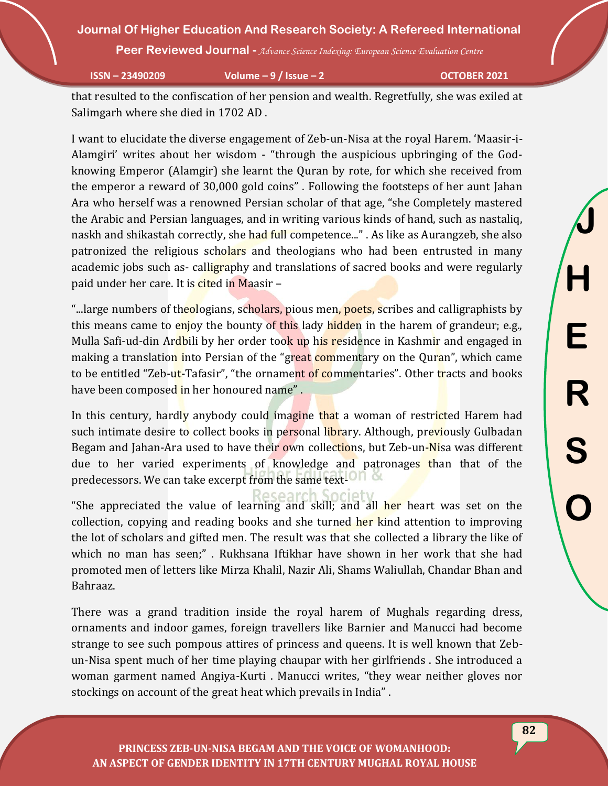**Peer Reviewed Journal -** *Advance Science Indexing: European Science Evaluation Centre*

**ISSN – 23490209 Volume – 9 / Issue – 2 OCTOBER 2021**

that resulted to the confiscation of her pension and wealth. Regretfully, she was exiled at Salimgarh where she died in 1702 AD .

I want to elucidate the diverse engagement of Zeb-un-Nisa at the royal Harem. 'Maasir-i-Alamgiri' writes about her wisdom - "through the auspicious upbringing of the Godknowing Emperor (Alamgir) she learnt the Quran by rote, for which she received from the emperor a reward of 30,000 gold coins" . Following the footsteps of her aunt Jahan Ara who herself was a renowned Persian scholar of that age, "she Completely mastered the Arabic and Persian languages, and in writing various kinds of hand, such as nastaliq, naskh and shikastah correctly, she had full competence..." . As like as Aurangzeb, she also patronized the religious scholars and theologians who had been entrusted in many academic jobs such as- calligraphy and translations of sacred books and were regularly paid under her care. It is cited in Maasir –

"...large numbers of theologians, scholars, pious men, poets, scribes and calligraphists by this means came to enjoy the bounty of this lady hidden in the harem of grandeur; e.g., Mulla Safi-ud-din Ardbili by her order took up his residence in Kashmir and engaged in making a translation into Persian of the "great commentary on the Quran", which came to be entitled "Zeb-ut-Tafasir", "the ornament of commentaries". Other tracts and books have been composed in her honoured name".

In this century, hardly anybody could imagine that a woman of restricted Harem had such intimate desire to collect books in personal library. Although, previously Gulbadan Begam and Jahan-Ara used to have their own collections, but Zeb-un-Nisa was different due to her varied experiments of knowledge and patronages than that of the predecessors. We can take excerpt from the same text-

Research Society "She appreciated the value of learning and skill; and all her heart was set on the collection, copying and reading books and she turned her kind attention to improving the lot of scholars and gifted men. The result was that she collected a library the like of which no man has seen;" . Rukhsana Iftikhar have shown in her work that she had promoted men of letters like Mirza Khalil, Nazir Ali, Shams Waliullah, Chandar Bhan and Bahraaz.

There was a grand tradition inside the royal harem of Mughals regarding dress, ornaments and indoor games, foreign travellers like Barnier and Manucci had become strange to see such pompous attires of princess and queens. It is well known that Zebun-Nisa spent much of her time playing chaupar with her girlfriends . She introduced a woman garment named Angiya-Kurti . Manucci writes, "they wear neither gloves nor stockings on account of the great heat which prevails in India" .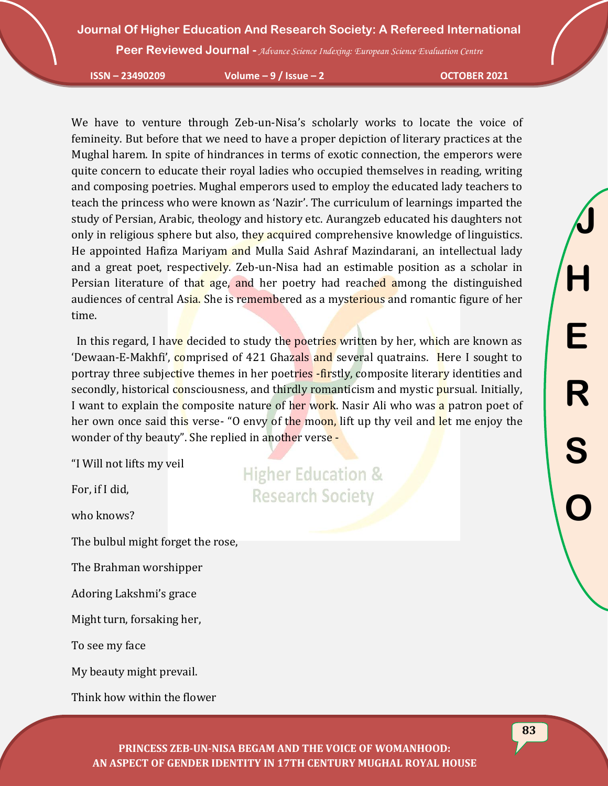**Peer Reviewed Journal -** *Advance Science Indexing: European Science Evaluation Centre*

**ISSN – 23490209 Volume – 9 / Issue – 2 OCTOBER 2021**

We have to venture through Zeb-un-Nisa's scholarly works to locate the voice of femineity. But before that we need to have a proper depiction of literary practices at the Mughal harem. In spite of hindrances in terms of exotic connection, the emperors were quite concern to educate their royal ladies who occupied themselves in reading, writing and composing poetries. Mughal emperors used to employ the educated lady teachers to teach the princess who were known as 'Nazir'. The curriculum of learnings imparted the study of Persian, Arabic, theology and history etc. Aurangzeb educated his daughters not only in religious sphere but also, they acquired comprehensive knowledge of linguistics. He appointed Hafiza Mariyam and Mulla Said Ashraf Mazindarani, an intellectual lady and a great poet, respectively. Zeb-un-Nisa had an estimable position as a scholar in Persian literature of that age, and her poetry had reached among the distinguished audiences of central Asia. She is remembered as a mysterious and romantic figure of her time.

In this regard, I have decided to study the poetries written by her, which are known as 'Dewaan-E-Makhfi', comprised of 421 Ghazals and several quatrains. Here I sought to portray three subjective themes in her poetries -firstly, composite literary identities and secondly, historical consciousness, and thirdly romanticism and mystic pursual. Initially, I want to explain the composite nature of her work. Nasir Ali who was a patron poet of her own once said this verse- "O envy of the moon, lift up thy veil and let me enjoy the wonder of thy beauty". She replied in another verse -

"I Will not lifts my veil

For, if I did,

who knows?

The bulbul might forget the rose,

The Brahman worshipper

Adoring Lakshmi's grace

Might turn, forsaking her,

To see my face

My beauty might prevail.

Think how within the flower

**Higher Education & Research Society**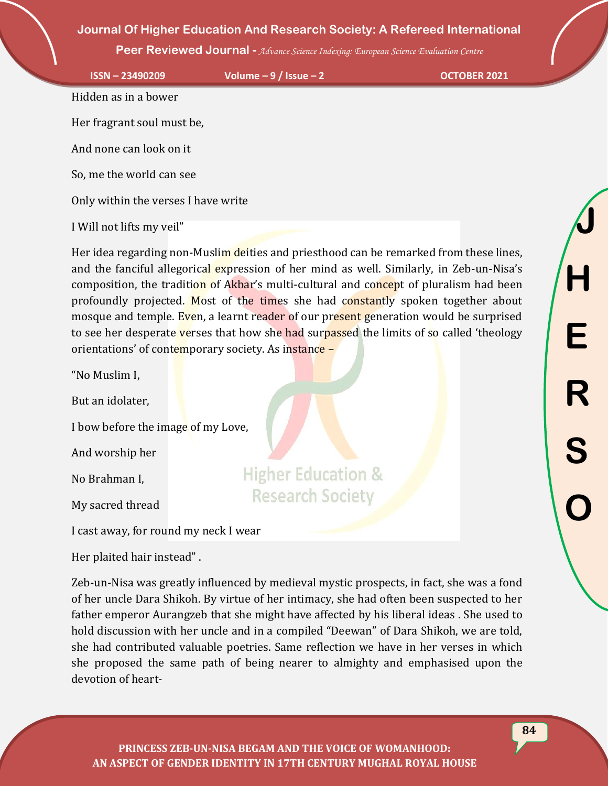**Peer Reviewed Journal -** *Advance Science Indexing: European Science Evaluation Centre*

**ISSN – 23490209 Volume – 9 / Issue – 2 OCTOBER 2021**

Hidden as in a bower

Her fragrant soul must be,

And none can look on it

So, me the world can see

Only within the verses I have write

I Will not lifts my veil"

Her idea regarding non-Muslim deities and priesthood can be remarked from these lines, and the fanciful allegorical expression of her mind as well. Similarly, in Zeb-un-Nisa's composition, the tradition of Akbar's multi-cultural and concept of pluralism had been profoundly projected. Most of the times she had constantly spoken together about mosque and temple. Even, a learnt reader of our present generation would be surprised to see her desperate verses that how she had surpassed the limits of so called 'theology orientations' of contemporary society. As instance –

"No Muslim I,

But an idolater,

I bow before the image of my Love,

And worship her

No Brahman I,

My sacred thread

I cast away, for round my neck I wear

Her plaited hair instead" .

Zeb-un-Nisa was greatly influenced by medieval mystic prospects, in fact, she was a fond of her uncle Dara Shikoh. By virtue of her intimacy, she had often been suspected to her father emperor Aurangzeb that she might have affected by his liberal ideas . She used to hold discussion with her uncle and in a compiled "Deewan" of Dara Shikoh, we are told, she had contributed valuable poetries. Same reflection we have in her verses in which she proposed the same path of being nearer to almighty and emphasised upon the devotion of heart-

**Higher Education &** 

**Research Society**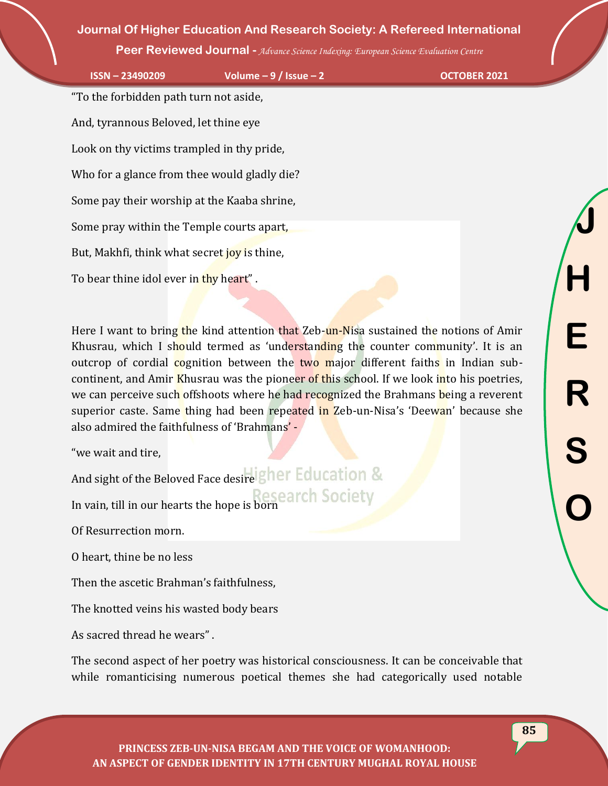**Peer Reviewed Journal -** *Advance Science Indexing: European Science Evaluation Centre*

**ISSN – 23490209 Volume – 9 / Issue – 2 OCTOBER 2021**

"To the forbidden path turn not aside, And, tyrannous Beloved, let thine eye Look on thy victims trampled in thy pride, Who for a glance from thee would gladly die? Some pay their worship at the Kaaba shrine, Some pray within the Temple courts apart, But, Makhfi, think what secret joy is thine, To bear thine idol ever in thy heart".

Here I want to bring the kind attention that Zeb-un-Nisa sustained the notions of Amir Khusrau, which I should termed as 'understanding the counter community'. It is an outcrop of cordial cognition between the two major different faiths in Indian subcontinent, and Amir Khusrau was the pioneer of this school. If we look into his poetries, we can perceive such offshoots where he had recognized the Brahmans being a reverent superior caste. Same thing had been repeated in Zeb-un-Nisa's 'Deewan' because she also admired the faithfulness of 'Brahmans' -

"we wait and tire,

And sight of the Beloved Face desire gher Education &

In vain, till in our hearts the hope is born

Of Resurrection morn.

O heart, thine be no less

Then the ascetic Brahman's faithfulness,

The knotted veins his wasted body bears

As sacred thread he wears" .

The second aspect of her poetry was historical consciousness. It can be conceivable that while romanticising numerous poetical themes she had categorically used notable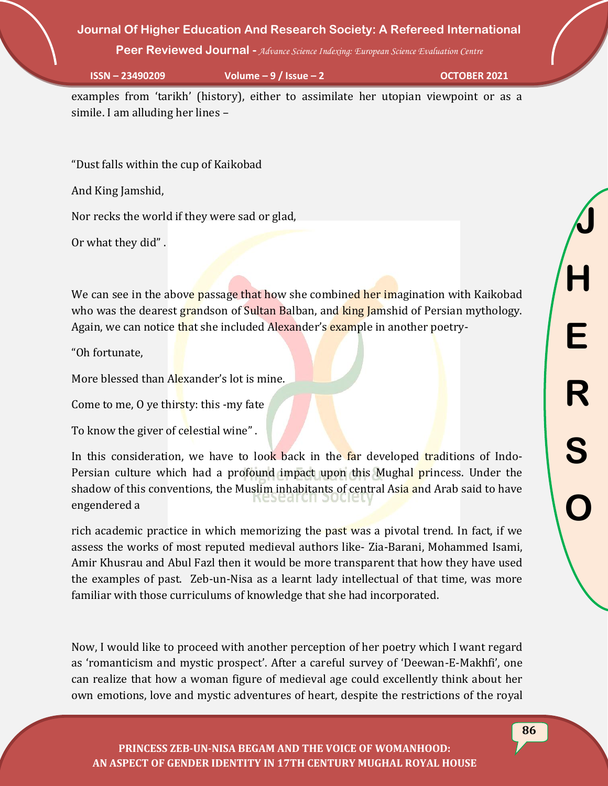**Peer Reviewed Journal -** *Advance Science Indexing: European Science Evaluation Centre*

**ISSN – 23490209 Volume – 9 / Issue – 2 OCTOBER 2021**

examples from 'tarikh' (history), either to assimilate her utopian viewpoint or as a simile. I am alluding her lines –

"Dust falls within the cup of Kaikobad

And King Jamshid,

Nor recks the world if they were sad or glad,

Or what they did" .

We can see in the above passage that how she combined her imagination with Kaikobad who was the dearest grandson of Sultan Balban, and king Jamshid of Persian mythology. Again, we can notice that she included Alexander's example in another poetry-

"Oh fortunate,

More blessed than Alexander's lot is mine.

Come to me, O ye thirsty: this -my fate

To know the giver of celestial wine" .

In this consideration, we have to look back in the far developed traditions of Indo-Persian culture which had a profound impact upon this Mughal princess. Under the shadow of this conventions, the Muslim inhabitants of central Asia and Arab said to have engendered a

rich academic practice in which memorizing the past was a pivotal trend. In fact, if we assess the works of most reputed medieval authors like- Zia-Barani, Mohammed Isami, Amir Khusrau and Abul Fazl then it would be more transparent that how they have used the examples of past. Zeb-un-Nisa as a learnt lady intellectual of that time, was more familiar with those curriculums of knowledge that she had incorporated.

Now, I would like to proceed with another perception of her poetry which I want regard as 'romanticism and mystic prospect'. After a careful survey of 'Deewan-E-Makhfi', one can realize that how a woman figure of medieval age could excellently think about her own emotions, love and mystic adventures of heart, despite the restrictions of the royal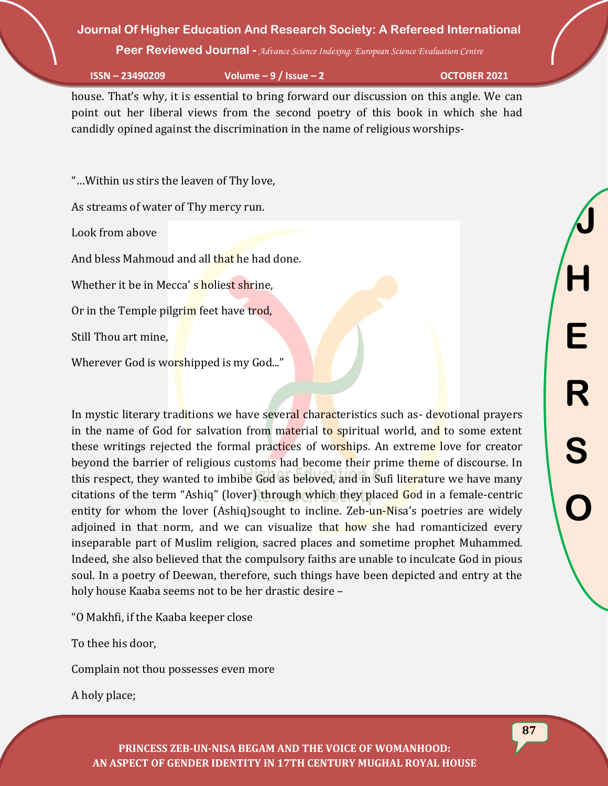**Peer Reviewed Journal -** *Advance Science Indexing: European Science Evaluation Centre*

**ISSN – 23490209 Volume – 9 / Issue – 2 OCTOBER 2021**

house. That's why, it is essential to bring forward our discussion on this angle. We can point out her liberal views from the second poetry of this book in which she had candidly opined against the discrimination in the name of religious worships-

"…Within us stirs the leaven of Thy love,

As streams of water of Thy mercy run.

Look from above

And bless Mahmoud and all that he had done.

Whether it be in Mecca' s holiest shrine.

Or in the Temple pilgrim feet have trod,

Still Thou art mine,

Wherever God is worshipped is my God..."

In mystic literary traditions we have several characteristics such as- devotional prayers in the name of God for salvation from material to spiritual world, and to some extent these writings rejected the formal practices of worships. An extreme love for creator beyond the barrier of religious customs had become their prime theme of discourse. In this respect, they wanted to imbibe God as beloved, and in Sufi literature we have many citations of the term "Ashiq" (lover) through which they placed God in a female-centric entity for whom the lover (Ashiq)sought to incline. Zeb-un-Nisa's poetries are widely adjoined in that norm, and we can visualize that how she had romanticized every inseparable part of Muslim religion, sacred places and sometime prophet Muhammed. Indeed, she also believed that the compulsory faiths are unable to inculcate God in pious soul. In a poetry of Deewan, therefore, such things have been depicted and entry at the holy house Kaaba seems not to be her drastic desire –

"O Makhfi, if the Kaaba keeper close

To thee his door,

Complain not thou possesses even more

A holy place;

**J H E R S O**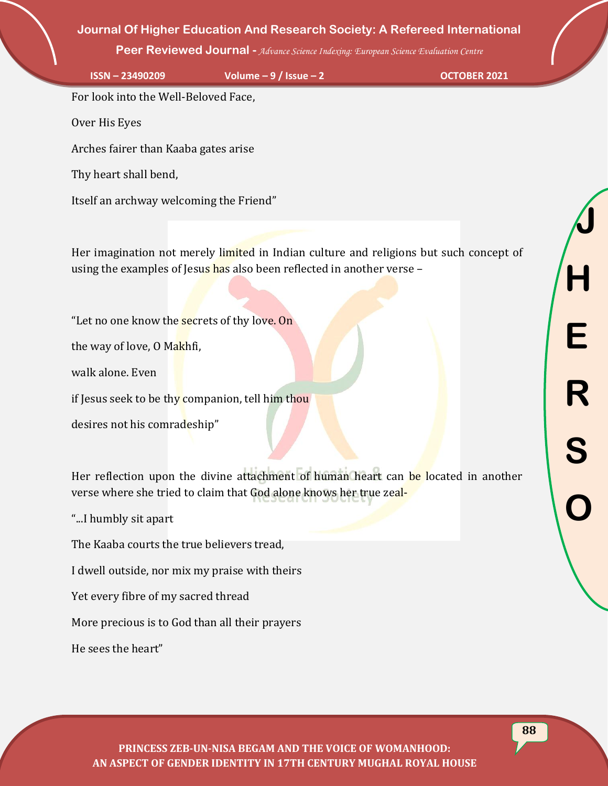**Peer Reviewed Journal -** *Advance Science Indexing: European Science Evaluation Centre*

**ISSN – 23490209 Volume – 9 / Issue – 2 OCTOBER 2021**

**J**

**H**

**E**

**R**

**S**

**O**

For look into the Well-Beloved Face,

Over His Eyes

Arches fairer than Kaaba gates arise

Thy heart shall bend,

Itself an archway welcoming the Friend"

Her imagination not merely limited in Indian culture and religions but such concept of using the examples of Jesus has also been reflected in another verse –

"Let no one know the **secrets** of thy love. On

the way of love, O Makhfi,

walk alone. Even

if Jesus seek to be thy companion, tell him thou

desires not his comradeship"

Her reflection upon the divine attachment of human heart can be located in another verse where she tried to claim that God alone knows her true zeal-

"...I humbly sit apart

The Kaaba courts the true believers tread,

I dwell outside, nor mix my praise with theirs

Yet every fibre of my sacred thread

More precious is to God than all their prayers

He sees the heart"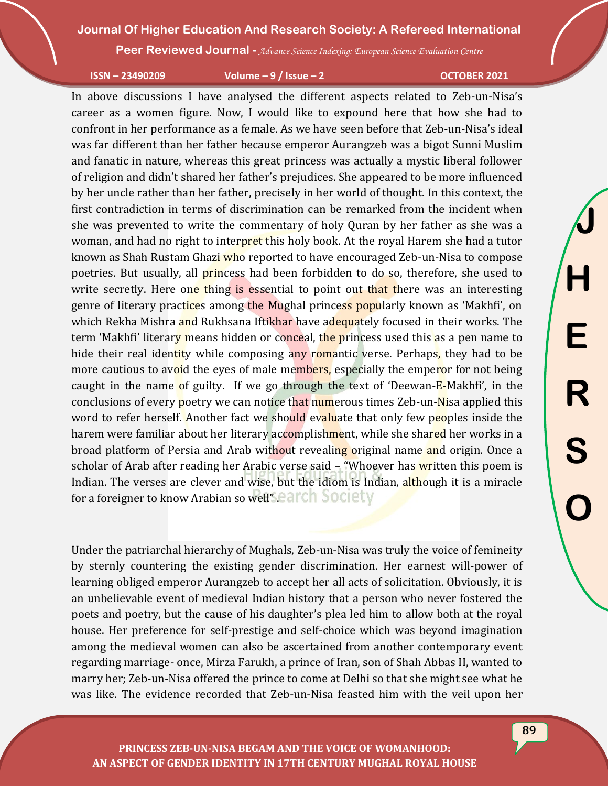**Peer Reviewed Journal -** *Advance Science Indexing: European Science Evaluation Centre*

**ISSN – 23490209 Volume – 9 / Issue – 2 OCTOBER 2021**

In above discussions I have analysed the different aspects related to Zeb-un-Nisa's career as a women figure. Now, I would like to expound here that how she had to confront in her performance as a female. As we have seen before that Zeb-un-Nisa's ideal was far different than her father because emperor Aurangzeb was a bigot Sunni Muslim and fanatic in nature, whereas this great princess was actually a mystic liberal follower of religion and didn't shared her father's prejudices. She appeared to be more influenced by her uncle rather than her father, precisely in her world of thought. In this context, the first contradiction in terms of discrimination can be remarked from the incident when she was prevented to write the commentary of holy Quran by her father as she was a woman, and had no right to interpret this holy book. At the royal Harem she had a tutor known as Shah Rustam Ghazi who reported to have encouraged Zeb-un-Nisa to compose poetries. But usually, all **princess** had been forbidden to do so, therefore, she used to write secretly. Here one thing is essential to point out that there was an interesting genre of literary practices among the Mughal princess popularly known as 'Makhfi', on which Rekha Mishra and Rukhsana Iftikhar have adequately focused in their works. The term 'Makhfi' literary means hidden or conceal, the princess used this as a pen name to hide their real identity while composing any romantic verse. Perhaps, they had to be more cautious to avoid the eyes of male members, especially the emperor for not being caught in the name of guilty. If we go through the text of 'Deewan-E-Makhfi', in the conclusions of every poetry we can notice that numerous times Zeb-un-Nisa applied this word to refer herself. Another fact we should evaluate that only few peoples inside the harem were familiar about her literary accomplishment, while she shared her works in a broad platform of Persia and Arab without revealing original name and origin. Once a scholar of Arab after reading her Arabic verse said  $-$  "Whoever has written this poem is Indian. The verses are clever and wise, but the idiom is Indian, although it is a miracle for a foreigner to know Arabian so well'Search Society

Under the patriarchal hierarchy of Mughals, Zeb-un-Nisa was truly the voice of femineity by sternly countering the existing gender discrimination. Her earnest will-power of learning obliged emperor Aurangzeb to accept her all acts of solicitation. Obviously, it is an unbelievable event of medieval Indian history that a person who never fostered the poets and poetry, but the cause of his daughter's plea led him to allow both at the royal house. Her preference for self-prestige and self-choice which was beyond imagination among the medieval women can also be ascertained from another contemporary event regarding marriage- once, Mirza Farukh, a prince of Iran, son of Shah Abbas II, wanted to marry her; Zeb-un-Nisa offered the prince to come at Delhi so that she might see what he was like. The evidence recorded that Zeb-un-Nisa feasted him with the veil upon her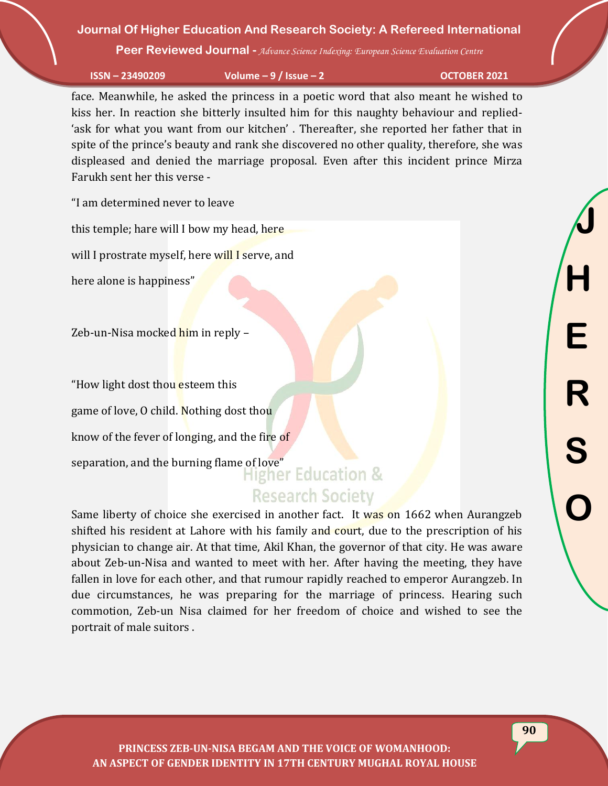**Peer Reviewed Journal -** *Advance Science Indexing: European Science Evaluation Centre*

**ISSN – 23490209 Volume – 9 / Issue – 2 OCTOBER 2021**

face. Meanwhile, he asked the princess in a poetic word that also meant he wished to kiss her. In reaction she bitterly insulted him for this naughty behaviour and replied- 'ask for what you want from our kitchen' . Thereafter, she reported her father that in spite of the prince's beauty and rank she discovered no other quality, therefore, she was displeased and denied the marriage proposal. Even after this incident prince Mirza Farukh sent her this verse -

"I am determined never to leave

this temple; hare will I bow my head, here

will I prostrate myself, here will I serve, and

here alone is happiness"

Zeb-un-Nisa mocked him in reply –

"How light dost thou esteem this

game of love, O child. Nothing dost thou

know of the fever of longing, and the fire of

separation, and the burning flame of love"<br>Higher Education &

# **Research Society**

Same liberty of choice she exercised in another fact. It was on 1662 when Aurangzeb shifted his resident at Lahore with his family and court, due to the prescription of his physician to change air. At that time, Akil Khan, the governor of that city. He was aware about Zeb-un-Nisa and wanted to meet with her. After having the meeting, they have fallen in love for each other, and that rumour rapidly reached to emperor Aurangzeb. In due circumstances, he was preparing for the marriage of princess. Hearing such commotion, Zeb-un Nisa claimed for her freedom of choice and wished to see the portrait of male suitors .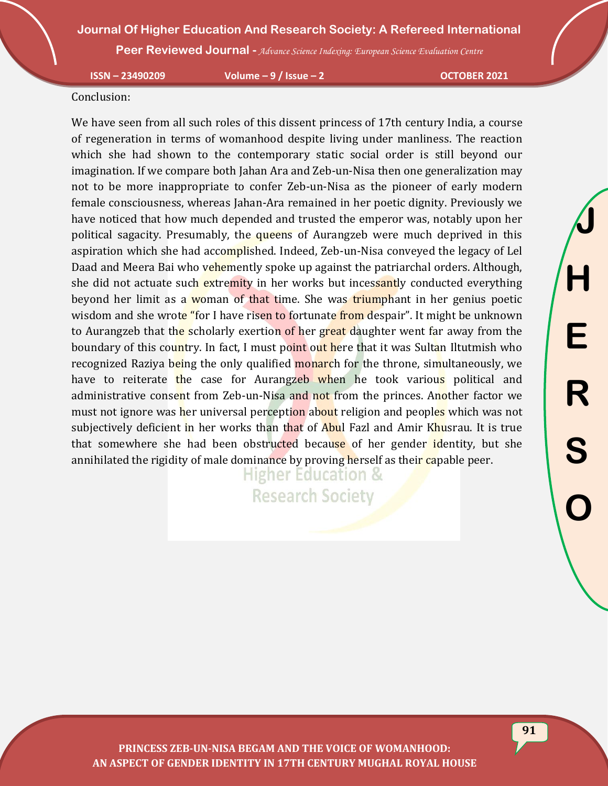**Peer Reviewed Journal -** *Advance Science Indexing: European Science Evaluation Centre*

**ISSN – 23490209 Volume – 9 / Issue – 2 OCTOBER 2021**

#### Conclusion:

We have seen from all such roles of this dissent princess of 17th century India, a course of regeneration in terms of womanhood despite living under manliness. The reaction which she had shown to the contemporary static social order is still beyond our imagination. If we compare both Jahan Ara and Zeb-un-Nisa then one generalization may not to be more inappropriate to confer Zeb-un-Nisa as the pioneer of early modern female consciousness, whereas Jahan-Ara remained in her poetic dignity. Previously we have noticed that how much depended and trusted the emperor was, notably upon her political sagacity. Presumably, the queens of Aurangzeb were much deprived in this aspiration which she had accomplished. Indeed, Zeb-un-Nisa conveyed the legacy of Lel Daad and Meera Bai who vehemently spoke up against the patriarchal orders. Although, she did not actuate such extremity in her works but incessantly conducted everything beyond her limit as a woman of that time. She was triumphant in her genius poetic wisdom and she wrote "for I have risen to fortunate from despair". It might be unknown to Aurangzeb that the scholarly exertion of her great daughter went far away from the boundary of this country. In fact, I must point out here that it was Sultan Iltutmish who recognized Raziya being the only qualified monarch for the throne, simultaneously, we have to reiterate the case for Aurangzeb when he took various political and administrative consent from Zeb-un-Nisa and not from the princes. Another factor we must not ignore was her universal perception about religion and peoples which was not subjectively deficient in her works than that of Abul Fazl and Amir Khusrau. It is true that somewhere she had been obstructed because of her gender identity, but she annihilated the rigidity of male dominance by proving herself as their capable peer.

> **Higher Education & Research Society**